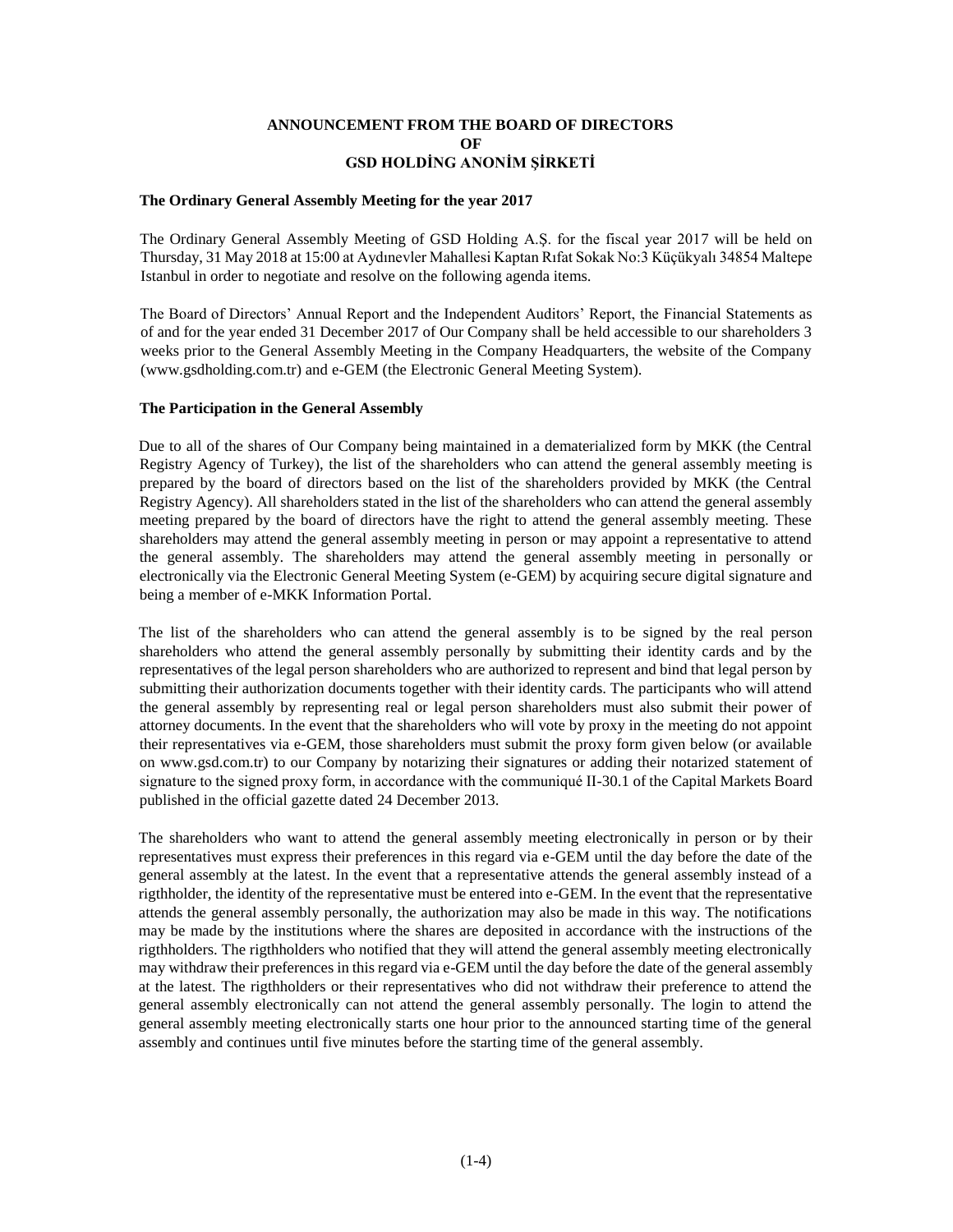# **ANNOUNCEMENT FROM THE BOARD OF DIRECTORS OF GSD HOLDİNG ANONİM ŞİRKETİ**

#### **The Ordinary General Assembly Meeting for the year 2017**

The Ordinary General Assembly Meeting of GSD Holding A.Ş. for the fiscal year 2017 will be held on Thursday, 31 May 2018 at 15:00 at Aydınevler Mahallesi Kaptan Rıfat Sokak No:3 Küçükyalı 34854 Maltepe Istanbul in order to negotiate and resolve on the following agenda items.

The Board of Directors' Annual Report and the Independent Auditors' Report, the Financial Statements as of and for the year ended 31 December 2017 of Our Company shall be held accessible to our shareholders 3 weeks prior to the General Assembly Meeting in the Company Headquarters, the website of the Company (www.gsdholding.com.tr) and e-GEM (the Electronic General Meeting System).

#### **The Participation in the General Assembly**

Due to all of the shares of Our Company being maintained in a dematerialized form by MKK (the Central Registry Agency of Turkey), the list of the shareholders who can attend the general assembly meeting is prepared by the board of directors based on the list of the shareholders provided by MKK (the Central Registry Agency). All shareholders stated in the list of the shareholders who can attend the general assembly meeting prepared by the board of directors have the right to attend the general assembly meeting. These shareholders may attend the general assembly meeting in person or may appoint a representative to attend the general assembly. The shareholders may attend the general assembly meeting in personally or electronically via the Electronic General Meeting System (e-GEM) by acquiring secure digital signature and being a member of e-MKK Information Portal.

The list of the shareholders who can attend the general assembly is to be signed by the real person shareholders who attend the general assembly personally by submitting their identity cards and by the representatives of the legal person shareholders who are authorized to represent and bind that legal person by submitting their authorization documents together with their identity cards. The participants who will attend the general assembly by representing real or legal person shareholders must also submit their power of attorney documents. In the event that the shareholders who will vote by proxy in the meeting do not appoint their representatives via e-GEM, those shareholders must submit the proxy form given below (or available on www.gsd.com.tr) to our Company by notarizing their signatures or adding their notarized statement of signature to the signed proxy form, in accordance with the communiqué II-30.1 of the Capital Markets Board published in the official gazette dated 24 December 2013.

The shareholders who want to attend the general assembly meeting electronically in person or by their representatives must express their preferences in this regard via e-GEM until the day before the date of the general assembly at the latest. In the event that a representative attends the general assembly instead of a rigthholder, the identity of the representative must be entered into e-GEM. In the event that the representative attends the general assembly personally, the authorization may also be made in this way. The notifications may be made by the institutions where the shares are deposited in accordance with the instructions of the rigthholders. The rigthholders who notified that they will attend the general assembly meeting electronically may withdraw their preferences in this regard via e-GEM until the day before the date of the general assembly at the latest. The rigthholders or their representatives who did not withdraw their preference to attend the general assembly electronically can not attend the general assembly personally. The login to attend the general assembly meeting electronically starts one hour prior to the announced starting time of the general assembly and continues until five minutes before the starting time of the general assembly.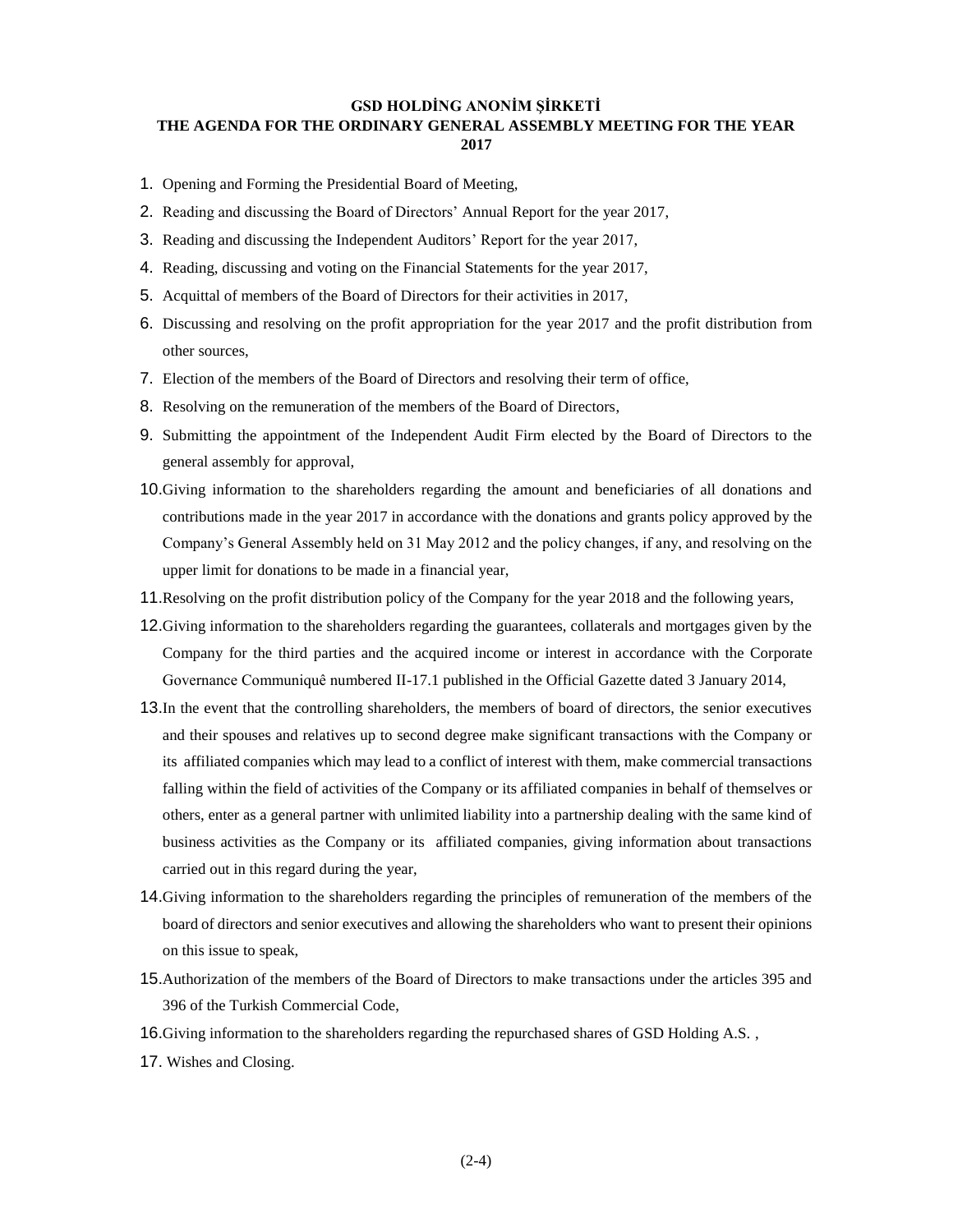# **GSD HOLDİNG ANONİM ŞİRKETİ THE AGENDA FOR THE ORDINARY GENERAL ASSEMBLY MEETING FOR THE YEAR 2017**

- 1. Opening and Forming the Presidential Board of Meeting,
- 2. Reading and discussing the Board of Directors' Annual Report for the year 2017,
- 3. Reading and discussing the Independent Auditors' Report for the year 2017,
- 4. Reading, discussing and voting on the Financial Statements for the year 2017,
- 5. Acquittal of members of the Board of Directors for their activities in 2017,
- 6. Discussing and resolving on the profit appropriation for the year 2017 and the profit distribution from other sources,
- 7. Election of the members of the Board of Directors and resolving their term of office,
- 8. Resolving on the remuneration of the members of the Board of Directors,
- 9. Submitting the appointment of the Independent Audit Firm elected by the Board of Directors to the general assembly for approval,
- 10.Giving information to the shareholders regarding the amount and beneficiaries of all donations and contributions made in the year 2017 in accordance with the donations and grants policy approved by the Company's General Assembly held on 31 May 2012 and the policy changes, if any, and resolving on the upper limit for donations to be made in a financial year,
- 11.Resolving on the profit distribution policy of the Company for the year 2018 and the following years,
- 12.Giving information to the shareholders regarding the guarantees, collaterals and mortgages given by the Company for the third parties and the acquired income or interest in accordance with the Corporate Governance Communiquê numbered II-17.1 published in the Official Gazette dated 3 January 2014,
- 13.In the event that the controlling shareholders, the members of board of directors, the senior executives and their spouses and relatives up to second degree make significant transactions with the Company or its affiliated companies which may lead to a conflict of interest with them, make commercial transactions falling within the field of activities of the Company or its affiliated companies in behalf of themselves or others, enter as a general partner with unlimited liability into a partnership dealing with the same kind of business activities as the Company or its affiliated companies, giving information about transactions carried out in this regard during the year,
- 14.Giving information to the shareholders regarding the principles of remuneration of the members of the board of directors and senior executives and allowing the shareholders who want to present their opinions on this issue to speak,
- 15.Authorization of the members of the Board of Directors to make transactions under the articles 395 and 396 of the Turkish Commercial Code,
- 16.Giving information to the shareholders regarding the repurchased shares of GSD Holding A.S. ,
- 17. Wishes and Closing.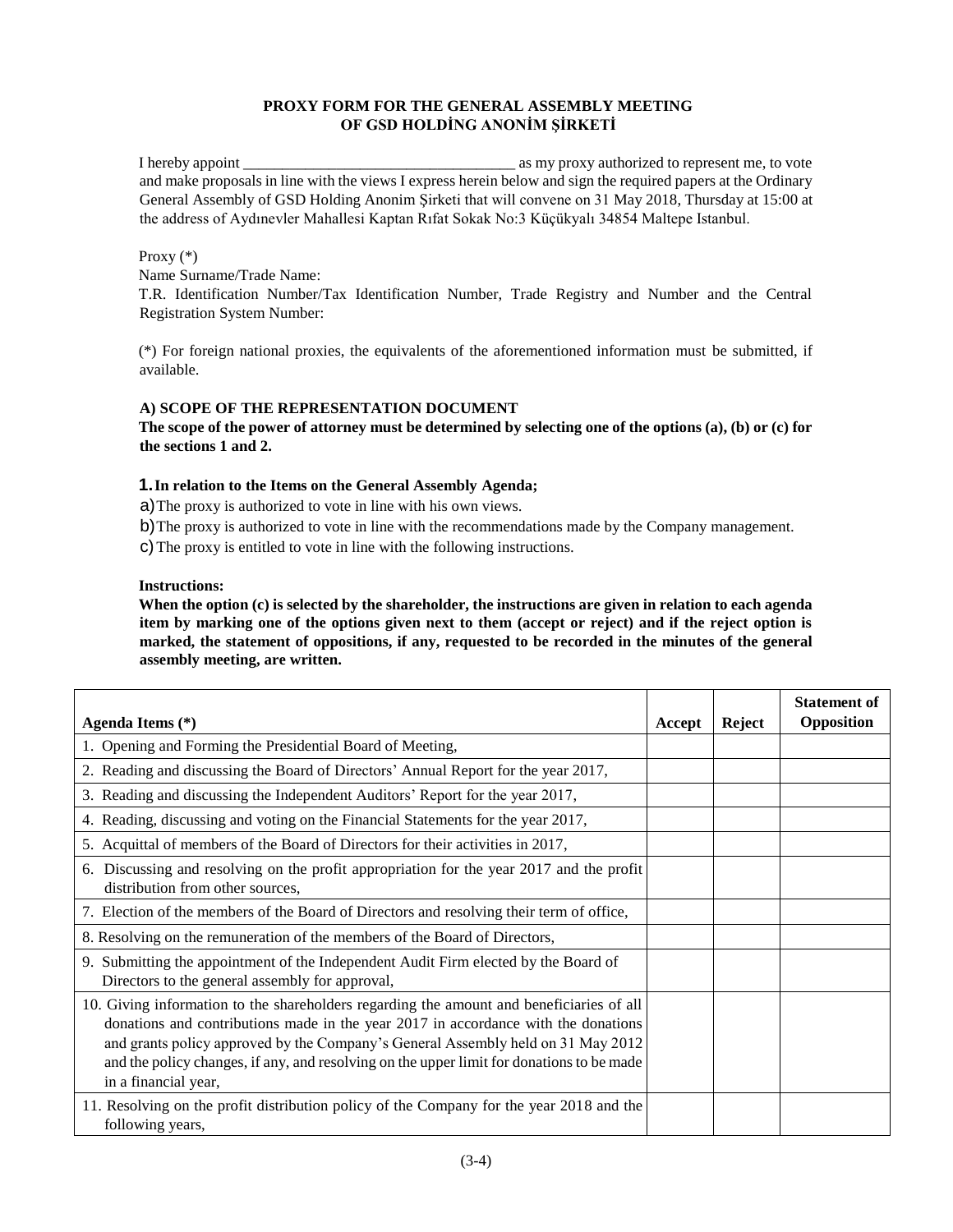# **PROXY FORM FOR THE GENERAL ASSEMBLY MEETING OF GSD HOLDİNG ANONİM ŞİRKETİ**

I hereby appoint \_\_\_\_\_\_\_\_\_\_\_\_\_\_\_\_\_\_\_\_\_\_\_\_\_\_\_\_\_\_\_\_\_\_\_ as my proxy authorized to represent me, to vote and make proposals in line with the views I express herein below and sign the required papers at the Ordinary General Assembly of GSD Holding Anonim Şirketi that will convene on 31 May 2018, Thursday at 15:00 at the address of Aydınevler Mahallesi Kaptan Rıfat Sokak No:3 Küçükyalı 34854 Maltepe Istanbul.

## Proxy (\*)

Name Surname/Trade Name:

T.R. Identification Number/Tax Identification Number, Trade Registry and Number and the Central Registration System Number:

(\*) For foreign national proxies, the equivalents of the aforementioned information must be submitted, if available.

## **A) SCOPE OF THE REPRESENTATION DOCUMENT**

**The scope of the power of attorney must be determined by selecting one of the options (a), (b) or (c) for the sections 1 and 2.** 

## **1.In relation to the Items on the General Assembly Agenda;**

a)The proxy is authorized to vote in line with his own views.

b)The proxy is authorized to vote in line with the recommendations made by the Company management.

c)The proxy is entitled to vote in line with the following instructions.

#### **Instructions:**

**When the option (c) is selected by the shareholder, the instructions are given in relation to each agenda item by marking one of the options given next to them (accept or reject) and if the reject option is marked, the statement of oppositions, if any, requested to be recorded in the minutes of the general assembly meeting, are written.** 

|                                                                                                                                                                                                                                                                                                                                                                                         |        |        | <b>Statement of</b><br>Opposition |
|-----------------------------------------------------------------------------------------------------------------------------------------------------------------------------------------------------------------------------------------------------------------------------------------------------------------------------------------------------------------------------------------|--------|--------|-----------------------------------|
| Agenda Items (*)                                                                                                                                                                                                                                                                                                                                                                        | Accept | Reject |                                   |
| 1. Opening and Forming the Presidential Board of Meeting,                                                                                                                                                                                                                                                                                                                               |        |        |                                   |
| 2. Reading and discussing the Board of Directors' Annual Report for the year 2017,                                                                                                                                                                                                                                                                                                      |        |        |                                   |
| 3. Reading and discussing the Independent Auditors' Report for the year 2017,                                                                                                                                                                                                                                                                                                           |        |        |                                   |
| 4. Reading, discussing and voting on the Financial Statements for the year 2017,                                                                                                                                                                                                                                                                                                        |        |        |                                   |
| 5. Acquittal of members of the Board of Directors for their activities in 2017,                                                                                                                                                                                                                                                                                                         |        |        |                                   |
| 6. Discussing and resolving on the profit appropriation for the year 2017 and the profit<br>distribution from other sources,                                                                                                                                                                                                                                                            |        |        |                                   |
| 7. Election of the members of the Board of Directors and resolving their term of office,                                                                                                                                                                                                                                                                                                |        |        |                                   |
| 8. Resolving on the remuneration of the members of the Board of Directors,                                                                                                                                                                                                                                                                                                              |        |        |                                   |
| 9. Submitting the appointment of the Independent Audit Firm elected by the Board of<br>Directors to the general assembly for approval,                                                                                                                                                                                                                                                  |        |        |                                   |
| 10. Giving information to the shareholders regarding the amount and beneficiaries of all<br>donations and contributions made in the year 2017 in accordance with the donations<br>and grants policy approved by the Company's General Assembly held on 31 May 2012<br>and the policy changes, if any, and resolving on the upper limit for donations to be made<br>in a financial year, |        |        |                                   |
| 11. Resolving on the profit distribution policy of the Company for the year 2018 and the<br>following years,                                                                                                                                                                                                                                                                            |        |        |                                   |